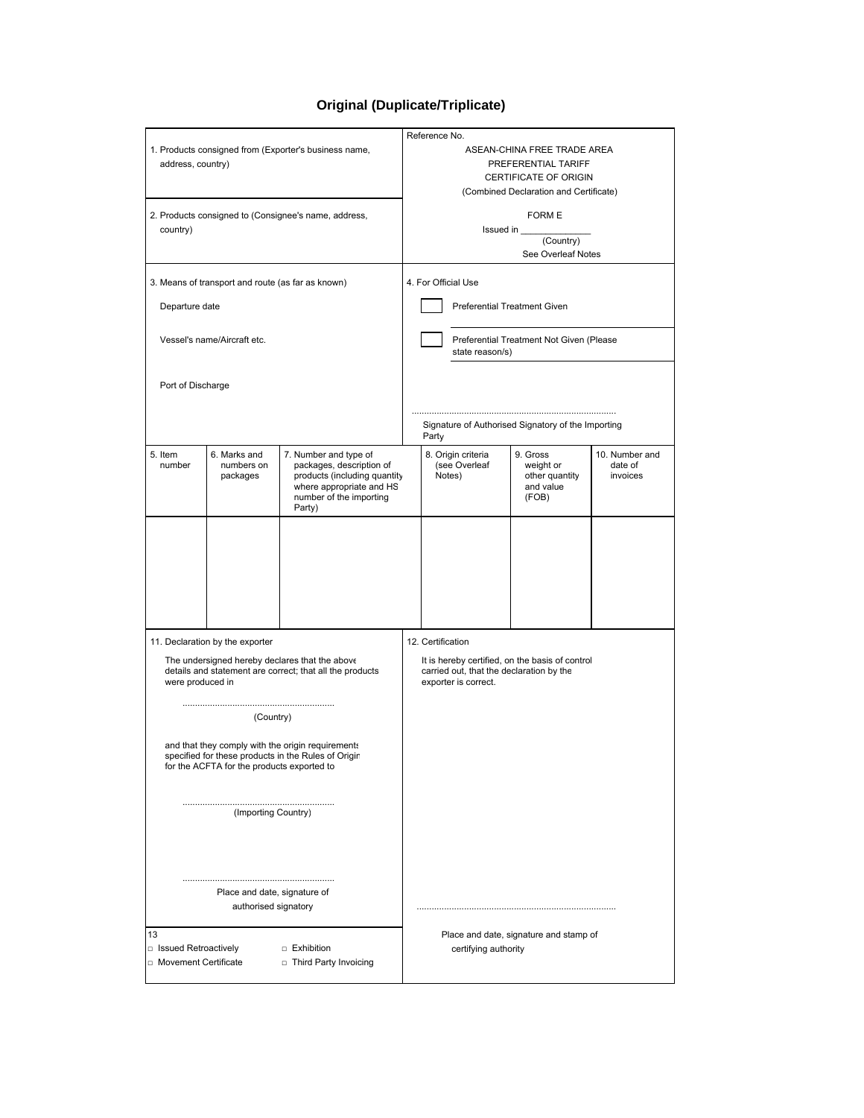## **Original (Duplicate/Triplicate)**

|                                                       |                                                   |                                                          | Reference No.                                                    |                                                    |                         |                             |                     |  |
|-------------------------------------------------------|---------------------------------------------------|----------------------------------------------------------|------------------------------------------------------------------|----------------------------------------------------|-------------------------|-----------------------------|---------------------|--|
| 1. Products consigned from (Exporter's business name, |                                                   |                                                          |                                                                  | ASEAN-CHINA FREE TRADE AREA                        |                         |                             |                     |  |
| address, country)                                     |                                                   |                                                          |                                                                  | PREFERENTIAL TARIFF                                |                         |                             |                     |  |
|                                                       |                                                   |                                                          |                                                                  | CERTIFICATE OF ORIGIN                              |                         |                             |                     |  |
|                                                       |                                                   |                                                          | (Combined Declaration and Certificate)                           |                                                    |                         |                             |                     |  |
|                                                       |                                                   | 2. Products consigned to (Consignee's name, address,     |                                                                  |                                                    |                         | <b>FORM E</b>               |                     |  |
| country)                                              |                                                   |                                                          | Issued in                                                        |                                                    |                         |                             |                     |  |
|                                                       |                                                   |                                                          | (Country)                                                        |                                                    |                         |                             |                     |  |
|                                                       |                                                   |                                                          | See Overleaf Notes                                               |                                                    |                         |                             |                     |  |
|                                                       | 3. Means of transport and route (as far as known) |                                                          | 4. For Official Use                                              |                                                    |                         |                             |                     |  |
|                                                       |                                                   |                                                          |                                                                  |                                                    |                         |                             |                     |  |
| Departure date                                        |                                                   |                                                          | Preferential Treatment Given                                     |                                                    |                         |                             |                     |  |
|                                                       |                                                   |                                                          |                                                                  |                                                    |                         |                             |                     |  |
|                                                       | Vessel's name/Aircraft etc.                       |                                                          |                                                                  | Preferential Treatment Not Given (Please           |                         |                             |                     |  |
|                                                       |                                                   |                                                          | state reason/s)                                                  |                                                    |                         |                             |                     |  |
|                                                       |                                                   |                                                          |                                                                  |                                                    |                         |                             |                     |  |
| Port of Discharge                                     |                                                   |                                                          |                                                                  |                                                    |                         |                             |                     |  |
|                                                       |                                                   |                                                          |                                                                  |                                                    |                         |                             |                     |  |
|                                                       |                                                   |                                                          |                                                                  | Signature of Authorised Signatory of the Importing |                         |                             |                     |  |
|                                                       |                                                   |                                                          |                                                                  | Party                                              |                         |                             |                     |  |
| 5. Item                                               | 6. Marks and                                      | 7. Number and type of                                    |                                                                  |                                                    | 8. Origin criteria      | 9. Gross                    | 10. Number and      |  |
| number                                                | numbers on<br>packages                            | packages, description of<br>products (including quantity |                                                                  |                                                    | (see Overleaf<br>Notes) | weight or<br>other quantity | date of<br>invoices |  |
|                                                       |                                                   | where appropriate and HS                                 |                                                                  |                                                    |                         | and value                   |                     |  |
|                                                       |                                                   | number of the importing<br>Party)                        |                                                                  |                                                    |                         | (FOB)                       |                     |  |
|                                                       |                                                   |                                                          |                                                                  |                                                    |                         |                             |                     |  |
|                                                       |                                                   |                                                          |                                                                  |                                                    |                         |                             |                     |  |
|                                                       |                                                   |                                                          |                                                                  |                                                    |                         |                             |                     |  |
|                                                       |                                                   |                                                          |                                                                  |                                                    |                         |                             |                     |  |
|                                                       |                                                   |                                                          |                                                                  |                                                    |                         |                             |                     |  |
|                                                       |                                                   |                                                          |                                                                  |                                                    |                         |                             |                     |  |
|                                                       |                                                   |                                                          |                                                                  |                                                    |                         |                             |                     |  |
|                                                       |                                                   |                                                          |                                                                  |                                                    |                         |                             |                     |  |
|                                                       | 11. Declaration by the exporter                   |                                                          | 12. Certification                                                |                                                    |                         |                             |                     |  |
| The undersigned hereby declares that the above        |                                                   |                                                          |                                                                  | It is hereby certified, on the basis of control    |                         |                             |                     |  |
| were produced in                                      |                                                   | details and statement are correct; that all the products | carried out, that the declaration by the<br>exporter is correct. |                                                    |                         |                             |                     |  |
|                                                       |                                                   |                                                          |                                                                  |                                                    |                         |                             |                     |  |
|                                                       | (Country)                                         |                                                          |                                                                  |                                                    |                         |                             |                     |  |
|                                                       |                                                   |                                                          |                                                                  |                                                    |                         |                             |                     |  |
|                                                       |                                                   | and that they comply with the origin requirements        |                                                                  |                                                    |                         |                             |                     |  |
|                                                       |                                                   | specified for these products in the Rules of Origin      |                                                                  |                                                    |                         |                             |                     |  |
|                                                       | for the ACFTA for the products exported to        |                                                          |                                                                  |                                                    |                         |                             |                     |  |
|                                                       |                                                   |                                                          |                                                                  |                                                    |                         |                             |                     |  |
|                                                       |                                                   |                                                          |                                                                  |                                                    |                         |                             |                     |  |
| (Importing Country)                                   |                                                   |                                                          |                                                                  |                                                    |                         |                             |                     |  |
|                                                       |                                                   |                                                          |                                                                  |                                                    |                         |                             |                     |  |
|                                                       |                                                   |                                                          |                                                                  |                                                    |                         |                             |                     |  |
|                                                       |                                                   |                                                          |                                                                  |                                                    |                         |                             |                     |  |
| Place and date, signature of                          |                                                   |                                                          |                                                                  |                                                    |                         |                             |                     |  |
| authorised signatory                                  |                                                   |                                                          |                                                                  |                                                    |                         |                             |                     |  |
|                                                       |                                                   |                                                          |                                                                  |                                                    |                         |                             |                     |  |
| 13                                                    |                                                   |                                                          |                                                                  | Place and date, signature and stamp of             |                         |                             |                     |  |
| □ Issued Retroactively                                |                                                   | □ Exhibition                                             |                                                                  | certifying authority                               |                         |                             |                     |  |
| □ Movement Certificate<br>□ Third Party Invoicing     |                                                   |                                                          |                                                                  |                                                    |                         |                             |                     |  |
|                                                       |                                                   |                                                          |                                                                  |                                                    |                         |                             |                     |  |